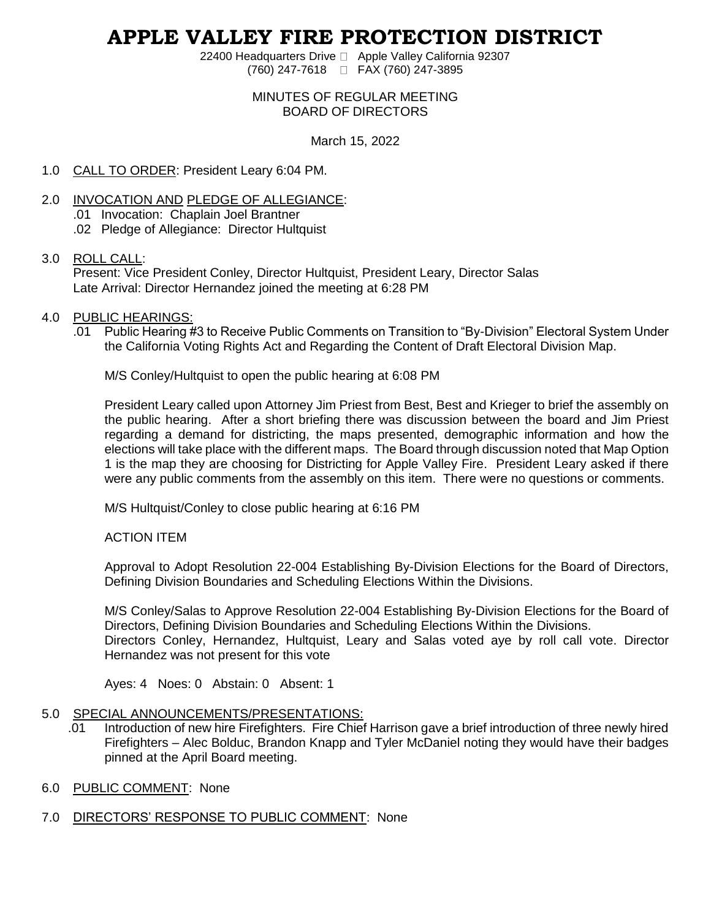# **APPLE VALLEY FIRE PROTECTION DISTRICT**

22400 Headquarters Drive □ Apple Valley California 92307 (760) 247-7618 FAX (760) 247-3895

#### MINUTES OF REGULAR MEETING BOARD OF DIRECTORS

March 15, 2022

### 1.0 CALL TO ORDER: President Leary 6:04 PM.

- 2.0 INVOCATION AND PLEDGE OF ALLEGIANCE:
	- .01 Invocation: Chaplain Joel Brantner
	- .02 Pledge of Allegiance: Director Hultquist

### 3.0 ROLL CALL:

Present: Vice President Conley, Director Hultquist, President Leary, Director Salas Late Arrival: Director Hernandez joined the meeting at 6:28 PM

### 4.0 PUBLIC HEARINGS:

.01 Public Hearing #3 to Receive Public Comments on Transition to "By-Division" Electoral System Under the California Voting Rights Act and Regarding the Content of Draft Electoral Division Map.

M/S Conley/Hultquist to open the public hearing at 6:08 PM

President Leary called upon Attorney Jim Priest from Best, Best and Krieger to brief the assembly on the public hearing. After a short briefing there was discussion between the board and Jim Priest regarding a demand for districting, the maps presented, demographic information and how the elections will take place with the different maps. The Board through discussion noted that Map Option 1 is the map they are choosing for Districting for Apple Valley Fire. President Leary asked if there were any public comments from the assembly on this item. There were no questions or comments.

M/S Hultquist/Conley to close public hearing at 6:16 PM

ACTION ITEM

Approval to Adopt Resolution 22-004 Establishing By-Division Elections for the Board of Directors, Defining Division Boundaries and Scheduling Elections Within the Divisions.

M/S Conley/Salas to Approve Resolution 22-004 Establishing By-Division Elections for the Board of Directors, Defining Division Boundaries and Scheduling Elections Within the Divisions. Directors Conley, Hernandez, Hultquist, Leary and Salas voted aye by roll call vote. Director Hernandez was not present for this vote

Ayes: 4 Noes: 0 Abstain: 0 Absent: 1

#### 5.0 SPECIAL ANNOUNCEMENTS/PRESENTATIONS:

- .01 Introduction of new hire Firefighters. Fire Chief Harrison gave a brief introduction of three newly hired Firefighters – Alec Bolduc, Brandon Knapp and Tyler McDaniel noting they would have their badges pinned at the April Board meeting.
- 6.0 PUBLIC COMMENT: None
- 7.0 DIRECTORS' RESPONSE TO PUBLIC COMMENT: None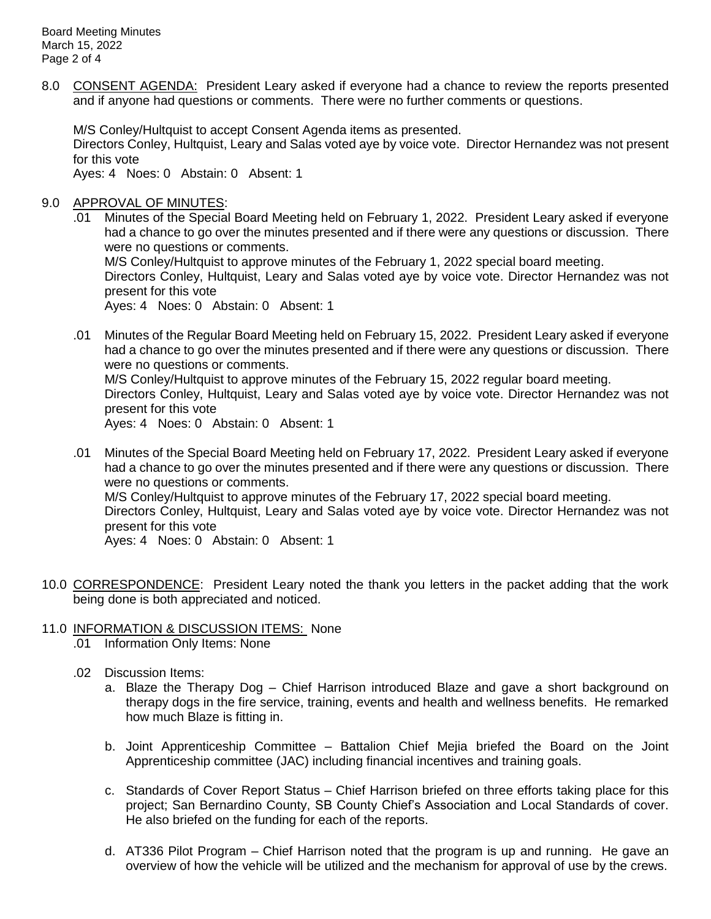8.0 CONSENT AGENDA: President Leary asked if everyone had a chance to review the reports presented and if anyone had questions or comments. There were no further comments or questions.

M/S Conley/Hultquist to accept Consent Agenda items as presented.

Directors Conley, Hultquist, Leary and Salas voted aye by voice vote. Director Hernandez was not present for this vote

Ayes: 4 Noes: 0 Abstain: 0 Absent: 1

## 9.0 APPROVAL OF MINUTES:

Minutes of the Special Board Meeting held on February 1, 2022. President Leary asked if everyone had a chance to go over the minutes presented and if there were any questions or discussion. There were no questions or comments.

M/S Conley/Hultquist to approve minutes of the February 1, 2022 special board meeting. Directors Conley, Hultquist, Leary and Salas voted aye by voice vote. Director Hernandez was not present for this vote

Ayes: 4 Noes: 0 Abstain: 0 Absent: 1

.01 Minutes of the Regular Board Meeting held on February 15, 2022. President Leary asked if everyone had a chance to go over the minutes presented and if there were any questions or discussion. There were no questions or comments.

M/S Conley/Hultquist to approve minutes of the February 15, 2022 regular board meeting. Directors Conley, Hultquist, Leary and Salas voted aye by voice vote. Director Hernandez was not present for this vote

Ayes: 4 Noes: 0 Abstain: 0 Absent: 1

.01 Minutes of the Special Board Meeting held on February 17, 2022. President Leary asked if everyone had a chance to go over the minutes presented and if there were any questions or discussion. There were no questions or comments. M/S Conley/Hultquist to approve minutes of the February 17, 2022 special board meeting.

Directors Conley, Hultquist, Leary and Salas voted aye by voice vote. Director Hernandez was not present for this vote

Ayes: 4 Noes: 0 Abstain: 0 Absent: 1

10.0 CORRESPONDENCE: President Leary noted the thank you letters in the packet adding that the work being done is both appreciated and noticed.

# 11.0 INFORMATION & DISCUSSION ITEMS: None

- .01 Information Only Items: None
- .02 Discussion Items:
	- a. Blaze the Therapy Dog Chief Harrison introduced Blaze and gave a short background on therapy dogs in the fire service, training, events and health and wellness benefits. He remarked how much Blaze is fitting in.
	- b. Joint Apprenticeship Committee Battalion Chief Mejia briefed the Board on the Joint Apprenticeship committee (JAC) including financial incentives and training goals.
	- c. Standards of Cover Report Status Chief Harrison briefed on three efforts taking place for this project; San Bernardino County, SB County Chief's Association and Local Standards of cover. He also briefed on the funding for each of the reports.
	- d. AT336 Pilot Program Chief Harrison noted that the program is up and running. He gave an overview of how the vehicle will be utilized and the mechanism for approval of use by the crews.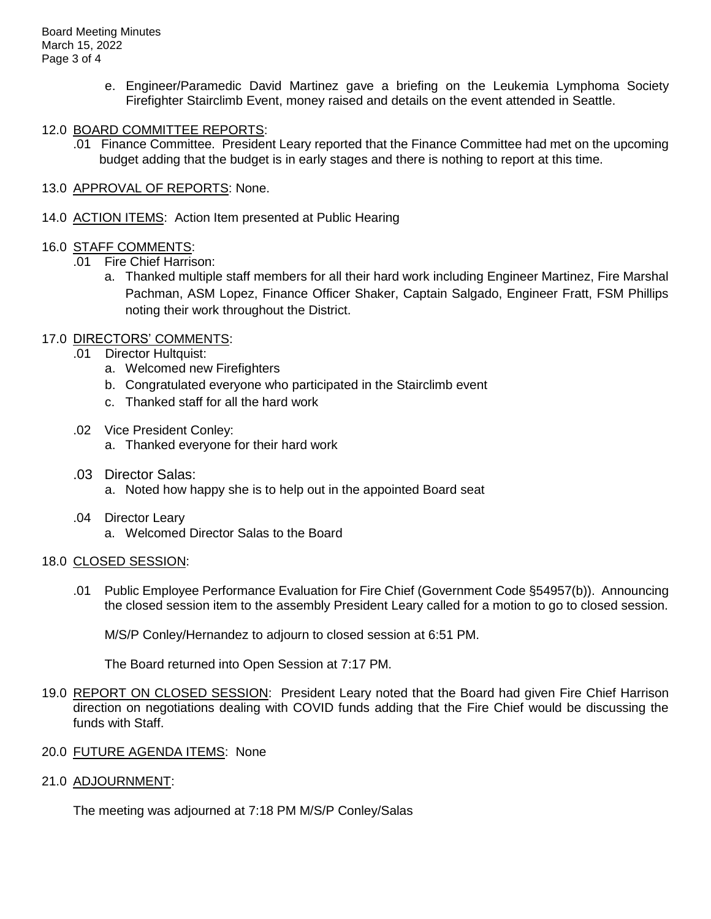- e. Engineer/Paramedic David Martinez gave a briefing on the Leukemia Lymphoma Society Firefighter Stairclimb Event, money raised and details on the event attended in Seattle.
- 12.0 BOARD COMMITTEE REPORTS:
	- .01 Finance Committee. President Leary reported that the Finance Committee had met on the upcoming budget adding that the budget is in early stages and there is nothing to report at this time.
- 13.0 APPROVAL OF REPORTS: None.
- 14.0 ACTION ITEMS: Action Item presented at Public Hearing

## 16.0 STAFF COMMENTS:

- .01 Fire Chief Harrison:
	- a. Thanked multiple staff members for all their hard work including Engineer Martinez, Fire Marshal Pachman, ASM Lopez, Finance Officer Shaker, Captain Salgado, Engineer Fratt, FSM Phillips noting their work throughout the District.

# 17.0 DIRECTORS' COMMENTS:

- .01 Director Hultquist:
	- a. Welcomed new Firefighters
	- b. Congratulated everyone who participated in the Stairclimb event
	- c. Thanked staff for all the hard work
- .02 Vice President Conley:
	- a. Thanked everyone for their hard work
- .03 Director Salas:
	- a. Noted how happy she is to help out in the appointed Board seat
- .04 Director Leary
	- a. Welcomed Director Salas to the Board

# 18.0 CLOSED SESSION:

.01 Public Employee Performance Evaluation for Fire Chief (Government Code §54957(b)). Announcing the closed session item to the assembly President Leary called for a motion to go to closed session.

M/S/P Conley/Hernandez to adjourn to closed session at 6:51 PM.

The Board returned into Open Session at 7:17 PM.

- 19.0 REPORT ON CLOSED SESSION: President Leary noted that the Board had given Fire Chief Harrison direction on negotiations dealing with COVID funds adding that the Fire Chief would be discussing the funds with Staff.
- 20.0 FUTURE AGENDA ITEMS: None
- 21.0 ADJOURNMENT:

The meeting was adjourned at 7:18 PM M/S/P Conley/Salas